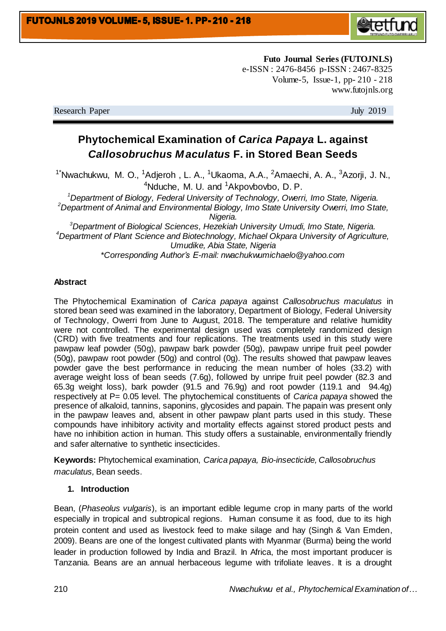

**Futo Journal Series (FUTOJNLS)** e-ISSN : 2476-8456 p-ISSN : 2467-8325 Volume-5, Issue-1, pp- 210 - 218 www.futojnls.org

Research Paper July 2019

# **Phytochemical Examination of** *Carica Papaya* **L. against**  *Callosobruchus M aculatus* **F. in Stored Bean Seeds**

<sup>1\*</sup>Nwachukwu, M. O., <sup>1</sup>Adjeroh, L. A., <sup>1</sup>Ukaoma, A.A., <sup>2</sup>Amaechi, A. A., <sup>3</sup>Azorji, J. N.,  $4$ Nduche, M. U. and  $1$ Akpovbovbo, D. P.

*<sup>1</sup>Department of Biology, Federal University of Technology, Owerri, Imo State, Nigeria. <sup>2</sup>Department of Animal and Environmental Biology, Imo State University Owerri, Imo State,* 

*Nigeria.*

*<sup>3</sup>Department of Biological Sciences, Hezekiah University Umudi, Imo State, Nigeria. <sup>4</sup>Department of Plant Science and Biotechnology, Michael Okpara University of Agriculture, Umudike, Abia State, Nigeria \*Corresponding Author's E-mail: nwachukwumichaelo@yahoo.com*

## **Abstract**

The Phytochemical Examination of *Carica papaya* against *Callosobruchus maculatus* in stored bean seed was examined in the laboratory, Department of Biology, Federal University of Technology, Owerri from June to August, 2018. The temperature and relative humidity were not controlled. The experimental design used was completely randomized design (CRD) with five treatments and four replications. The treatments used in this study were pawpaw leaf powder (50g), pawpaw bark powder (50g), pawpaw unripe fruit peel powder (50g), pawpaw root powder (50g) and control (0g). The results showed that pawpaw leaves powder gave the best performance in reducing the mean number of holes (33.2) with average weight loss of bean seeds (7.6g), followed by unripe fruit peel powder (82.3 and 65.3g weight loss), bark powder (91.5 and 76.9g) and root powder (119.1 and 94.4g) respectively at P= 0.05 level. The phytochemical constituents of *Carica papaya* showed the presence of alkaloid, tannins, saponins, glycosides and papain. The papain was present only in the pawpaw leaves and, absent in other pawpaw plant parts used in this study. These compounds have inhibitory activity and mortality effects against stored product pests and have no inhibition action in human. This study offers a sustainable, environmentally friendly and safer alternative to synthetic insecticides.

**Keywords:** Phytochemical examination, *Carica papaya, Bio-insecticide, Callosobruchus maculatus,* Bean seeds.

#### **1. Introduction**

Bean, (*Phaseolus vulgaris*), is an important edible legume crop in many parts of the world especially in tropical and subtropical regions. Human consume it as food, due to its high protein content and used as livestock feed to make silage and hay (Singh & Van Emden, 2009). Beans are one of the longest cultivated plants with Myanmar (Burma) being the world leader in production followed by India and Brazil. In Africa, the most important producer is Tanzania. Beans are an annual herbaceous legume with trifoliate leaves. It is a drought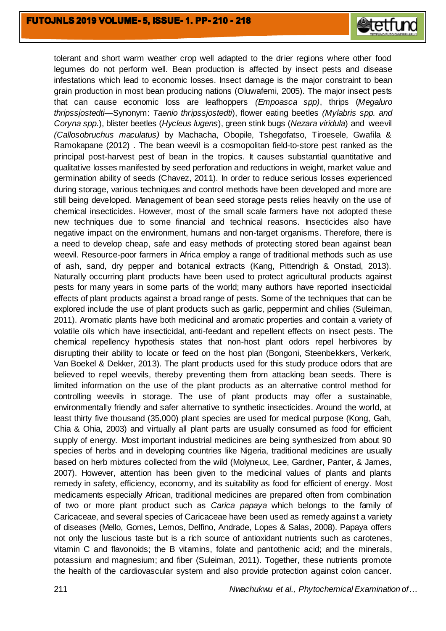

tolerant and short warm weather crop well adapted to the drier regions where other food legumes do not perform well. Bean production is affected by insect pests and disease infestations which lead to economic losses. Insect damage is the major constraint to bean grain production in most bean producing nations (Oluwafemi, 2005). The major insect pests that can cause economic loss are leafhoppers *(Empoasca spp)*, thrips (*Megaluro thripssjostedti—*Synonym: *Taenio thripssjostedti*), flower eating beetles *(Mylabris spp. and Coryna spp.*), blister beetles (*Hycleus lugens*), green stink bugs (*Nezara viridula*) and weevil *(Callosobruchus maculatus)* by Machacha, Obopile, Tshegofatso, Tiroesele, Gwafila & Ramokapane (2012) . The bean weevil is a cosmopolitan field-to-store pest ranked as the principal post-harvest pest of bean in the tropics. It causes substantial quantitative and qualitative losses manifested by seed perforation and reductions in weight, market value and germination ability of seeds (Chavez, 2011). In order to reduce serious losses experienced during storage, various techniques and control methods have been developed and more are still being developed. Management of bean seed storage pests relies heavily on the use of chemical insecticides. However, most of the small scale farmers have not adopted these new techniques due to some financial and technical reasons. Insecticides also have negative impact on the environment, humans and non-target organisms. Therefore, there is a need to develop cheap, safe and easy methods of protecting stored bean against bean weevil. Resource-poor farmers in Africa employ a range of traditional methods such as use of ash, sand, dry pepper and botanical extracts (Kang, Pittendrigh & Onstad, 2013). Naturally occurring plant products have been used to protect agricultural products against pests for many years in some parts of the world; many authors have reported insecticidal effects of plant products against a broad range of pests. Some of the techniques that can be explored include the use of plant products such as garlic, peppermint and chilies (Suleiman, 2011). Aromatic plants have both medicinal and aromatic properties and contain a variety of volatile oils which have insecticidal, anti-feedant and repellent effects on insect pests. The chemical repellency hypothesis states that non-host plant odors repel herbivores by disrupting their ability to locate or feed on the host plan (Bongoni, Steenbekkers, Verkerk, Van Boekel & Dekker, 2013). The plant products used for this study produce odors that are believed to repel weevils, thereby preventing them from attacking bean seeds. There is limited information on the use of the plant products as an alternative control method for controlling weevils in storage. The use of plant products may offer a sustainable, environmentally friendly and safer alternative to synthetic insecticides. Around the world, at least thirty five thousand (35,000) plant species are used for medical purpose (Kong, Gah, Chia & Ohia, 2003) and virtually all plant parts are usually consumed as food for efficient supply of energy. Most important industrial medicines are being synthesized from about 90 species of herbs and in developing countries like Nigeria, traditional medicines are usually based on herb mixtures collected from the wild (Molyneux, Lee, Gardner, Panter, & James, 2007). However, attention has been given to the medicinal values of plants and plants remedy in safety, efficiency, economy, and its suitability as food for efficient of energy. Most medicaments especially African, traditional medicines are prepared often from combination of two or more plant product such as *Carica papaya* which belongs to the family of Caricaceae, and several species of Caricaceae have been used as remedy against a variety of diseases (Mello, Gomes, Lemos, Delfino, Andrade, Lopes & Salas, 2008). Papaya offers not only the luscious taste but is a rich source of antioxidant nutrients such as carotenes, vitamin C and flavonoids; the B vitamins, folate and pantothenic acid; and the minerals, potassium and magnesium; and fiber (Suleiman, 2011). Together, these nutrients promote the health of the cardiovascular system and also provide protection against colon cancer.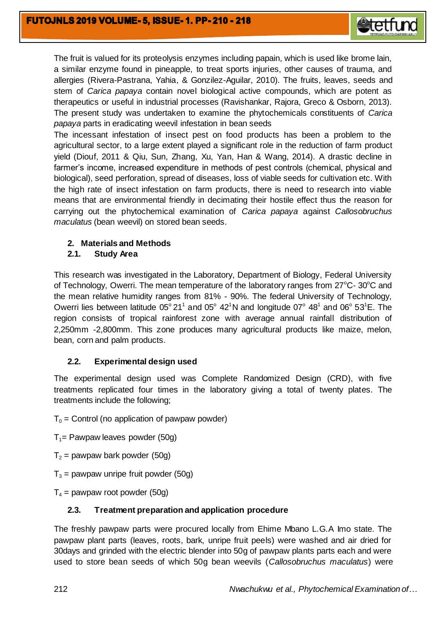

The fruit is valued for its proteolysis enzymes including papain, which is used like brome lain, a similar enzyme found in pineapple, to treat sports injuries, other causes of trauma, and allergies (Rivera-Pastrana, Yahia, & Gonzilez-Aguilar, 2010). The fruits, leaves, seeds and stem of *Carica papaya* contain novel biological active compounds, which are potent as therapeutics or useful in industrial processes (Ravishankar, Rajora, Greco & Osborn, 2013). The present study was undertaken to examine the phytochemicals constituents of *Carica papaya* parts in eradicating weevil infestation in bean seeds

The incessant infestation of insect pest on food products has been a problem to the agricultural sector, to a large extent played a significant role in the reduction of farm product yield (Diouf, 2011 & Qiu, Sun, Zhang, Xu, Yan, Han & Wang, 2014). A drastic decline in farmer's income, increased expenditure in methods of pest controls (chemical, physical and biological), seed perforation, spread of diseases, loss of viable seeds for cultivation etc. With the high rate of insect infestation on farm products, there is need to research into viable means that are environmental friendly in decimating their hostile effect thus the reason for carrying out the phytochemical examination of *Carica papaya* against *Callosobruchus maculatus* (bean weevil) on stored bean seeds.

# **2. Materials and Methods**

## **2.1. Study Area**

This research was investigated in the Laboratory, Department of Biology, Federal University of Technology, Owerri. The mean temperature of the laboratory ranges from  $27^{\circ}$ C-  $30^{\circ}$ C and the mean relative humidity ranges from 81% - 90%. The federal University of Technology, Owerri lies between latitude  $05^{\circ}$  21<sup>1</sup> and 05 $^{\circ}$  42<sup>1</sup>N and longitude 07 $^{\circ}$  48<sup>1</sup> and 06 $^{\circ}$  53<sup>1</sup>E. The region consists of tropical rainforest zone with average annual rainfall distribution of 2,250mm -2,800mm. This zone produces many agricultural products like maize, melon, bean, corn and palm products.

# **2.2. Experimental design used**

The experimental design used was Complete Randomized Design (CRD), with five treatments replicated four times in the laboratory giving a total of twenty plates. The treatments include the following;

#### $T_0$  = Control (no application of pawpaw powder)

- $T_1$ = Pawpaw leaves powder (50g)
- $T_2$  = pawpaw bark powder (50g)
- $T_3$  = pawpaw unripe fruit powder (50g)
- $T_4$  = pawpaw root powder (50g)

#### **2.3. Treatment preparation and application procedure**

The freshly pawpaw parts were procured locally from Ehime Mbano L.G.A Imo state. The pawpaw plant parts (leaves, roots, bark, unripe fruit peels) were washed and air dried for 30days and grinded with the electric blender into 50g of pawpaw plants parts each and were used to store bean seeds of which 50g bean weevils (*Callosobruchus maculatus*) were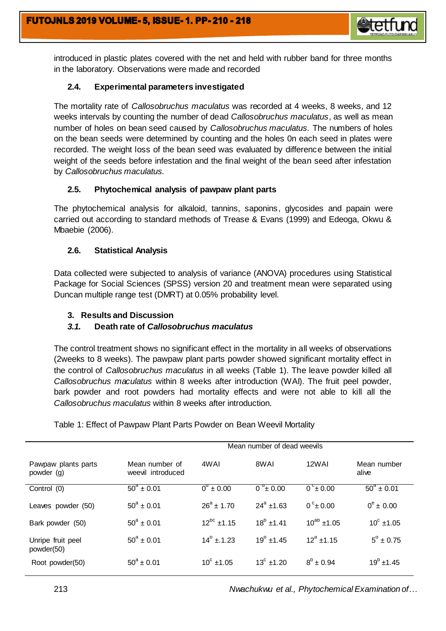

introduced in plastic plates covered with the net and held with rubber band for three months in the laboratory. Observations were made and recorded

## **2.4. Experimental parameters investigated**

The mortality rate of *Callosobruchus maculatus* was recorded at 4 weeks, 8 weeks, and 12 weeks intervals by counting the number of dead *Callosobruchus maculatus*, as well as mean number of holes on bean seed caused by *Callosobruchus maculatus.* The numbers of holes on the bean seeds were determined by counting and the holes 0n each seed in plates were recorded. The weight loss of the bean seed was evaluated by difference between the initial weight of the seeds before infestation and the final weight of the bean seed after infestation by *Callosobruchus maculatus.*

## **2.5. Phytochemical analysis of pawpaw plant parts**

The phytochemical analysis for alkaloid, tannins, saponins, glycosides and papain were carried out according to standard methods of Trease & Evans (1999) and Edeoga, Okwu & Mbaebie (2006).

## **2.6. Statistical Analysis**

Data collected were subjected to analysis of variance (ANOVA) procedures using Statistical Package for Social Sciences (SPSS) version 20 and treatment mean were separated using Duncan multiple range test (DMRT) at 0.05% probability level.

## **3. Results and Discussion**

# *3.1.* **Death rate of** *Callosobruchus maculatus*

The control treatment shows no significant effect in the mortality in all weeks of observations (2weeks to 8 weeks). The pawpaw plant parts powder showed significant mortality effect in the control of *Callosobruchus maculatus* in all weeks (Table 1). The leave powder killed all *Callosobruchus maculatus* within 8 weeks after introduction (WAI). The fruit peel powder, bark powder and root powders had mortality effects and were not able to kill all the *Callosobruchus maculatus* within 8 weeks after introduction.

|                                   | Mean number of dead weevils         |                    |                    |                    |                           |  |
|-----------------------------------|-------------------------------------|--------------------|--------------------|--------------------|---------------------------|--|
| Pawpaw plants parts<br>powder (g) | Mean number of<br>weevil introduced | 4WAI               | 8WAI               | 12WAI              | Mean number<br>alive      |  |
| Control (0)                       | $50^{\circ} \pm 0.01$               | $0^{\circ}$ + 0.00 | $0^{9}$ ± 0.00     | $0^{\circ}$ ± 0.00 | $\frac{1}{60^4 \pm 0.01}$ |  |
| Leaves powder (50)                | $50^a \pm 0.01$                     | $26^a$ + 1.70      | $24^a$ ±1.63       | $0^{\circ}$ ± 0.00 | $0^e \pm 0.00$            |  |
| Bark powder (50)                  | $50^a \pm 0.01$                     | $12^{bc}$ ±1.15    | $18^b$ ±1.41       | $10^{ab}$ ±1.05    | $10^{\circ}$ ±1.05        |  |
| Unripe fruit peel<br>powder(50)   | $50^a \pm 0.01$                     | $14^b$ ± 1.23      | $19^b$ ±1.45       | $12^a + 1.15$      | $5^{\circ}$ ± 0.75        |  |
| Root powder(50)                   | $50^a \pm 0.01$                     | $10^{\circ}$ ±1.05 | $13^{\circ}$ ±1.20 | $8^b \pm 0.94$     | $19^b \pm 1.45$           |  |

Table 1: Effect of Pawpaw Plant Parts Powder on Bean Weevil Mortality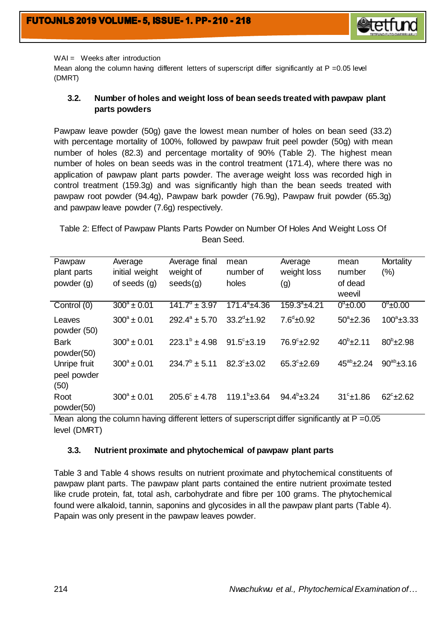

WAI = Weeks after introduction

Mean along the column having different letters of superscript differ significantly at  $P = 0.05$  level (DMRT)

## **3.2. Number of holes and weight loss of bean seeds treated with pawpaw plant parts powders**

Pawpaw leave powder (50g) gave the lowest mean number of holes on bean seed (33.2) with percentage mortality of 100%, followed by pawpaw fruit peel powder (50g) with mean number of holes (82.3) and percentage mortality of 90% (Table 2). The highest mean number of holes on bean seeds was in the control treatment (171.4), where there was no application of pawpaw plant parts powder. The average weight loss was recorded high in control treatment (159.3g) and was significantly high than the bean seeds treated with pawpaw root powder (94.4g), Pawpaw bark powder (76.9g), Pawpaw fruit powder (65.3g) and pawpaw leave powder (7.6g) respectively.

Table 2: Effect of Pawpaw Plants Parts Powder on Number Of Holes And Weight Loss Of Bean Seed.

| Pawpaw<br>plant parts               | Average<br>initial weight | Average final<br>weight of | mean<br>number of     | Average<br>weight loss | mean<br>number      | Mortality<br>$(\% )$ |
|-------------------------------------|---------------------------|----------------------------|-----------------------|------------------------|---------------------|----------------------|
| powder (g)                          | of seeds $(q)$            | seeds(g)                   | holes                 | (g)                    | of dead<br>weevil   |                      |
| Control (0)                         | $300^a \pm 0.01$          | $141.7^{\circ}$ ± 3.97     | $171.4^a \pm 4.36$    | $159.3^{\circ}$ ±4.21  | $0^{\circ}$ ±0.00   | $0^{\circ}$ ±0.00    |
| Leaves<br>powder (50)               | $300^a \pm 0.01$          | $292.4^{\circ} \pm 5.70$   | $33.2^d \pm 1.92$     | $7.6^{\circ}$ ±0.92    | $50^{\circ}$ ±2.36  | $100^{\circ}$ ±3.33  |
| <b>Bark</b><br>powder(50)           | $300^a \pm 0.01$          | $223.1^b \pm 4.98$         | $91.5^{\circ}$ ±3.19  | $76.9^{\circ}$ ±2.92   | $40^{b}$ ± 2.11     | $80^{\circ}$ ±2.98   |
| Unripe fruit<br>peel powder<br>(50) | $300^a \pm 0.01$          | $234.7^{\circ}$ ± 5.11     | $82.3^{\circ}$ ±3.02  | $65.3^{\circ}$ ±2.69   | $45^{ab}$ ± 2.24    | $90^{ab} \pm 3.16$   |
| Root<br>powder(50)                  | $300^a \pm 0.01$          | $205.6^{\circ} \pm 4.78$   | $119.1^{\circ}$ ±3.64 | $94.4^{\circ}$ ±3.24   | $31^\circ \pm 1.86$ | $62^{\circ}$ ±2.62   |

Mean along the column having different letters of superscript differ significantly at P = 0.05 level (DMRT)

#### **3.3. Nutrient proximate and phytochemical of pawpaw plant parts**

Table 3 and Table 4 shows results on nutrient proximate and phytochemical constituents of pawpaw plant parts. The pawpaw plant parts contained the entire nutrient proximate tested like crude protein, fat, total ash, carbohydrate and fibre per 100 grams. The phytochemical found were alkaloid, tannin, saponins and glycosides in all the pawpaw plant parts (Table 4). Papain was only present in the pawpaw leaves powder.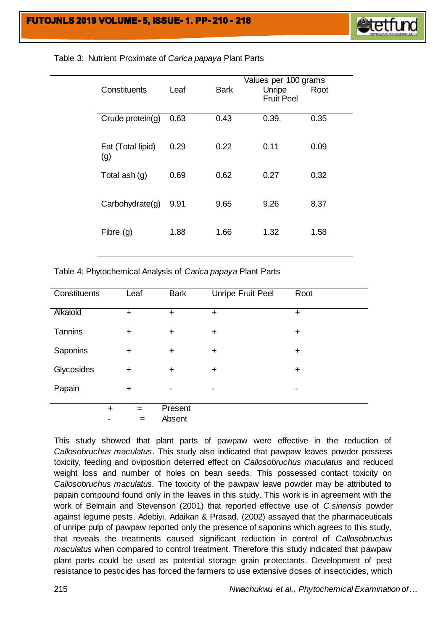

|                   |      |             | Values per 100 grams |      |  |
|-------------------|------|-------------|----------------------|------|--|
| Constituents      | Leaf | <b>Bark</b> | Unripe               | Root |  |
|                   |      |             | <b>Fruit Peel</b>    |      |  |
| Crude protein(g)  | 0.63 | 0.43        | 0.39.                | 0.35 |  |
|                   |      |             |                      |      |  |
|                   |      |             |                      |      |  |
| Fat (Total lipid) | 0.29 | 0.22        | 0.11                 | 0.09 |  |
| (g)               |      |             |                      |      |  |
| Total ash (g)     | 0.69 | 0.62        | 0.27                 | 0.32 |  |
|                   |      |             |                      |      |  |
|                   |      |             |                      |      |  |
| Carbohydrate(g)   | 9.91 | 9.65        | 9.26                 | 8.37 |  |
|                   |      |             |                      |      |  |
| Fibre $(q)$       | 1.88 | 1.66        | 1.32                 | 1.58 |  |
|                   |      |             |                      |      |  |
|                   |      |             |                      |      |  |

#### Table 3: Nutrient Proximate of *Carica papaya* Plant Parts

Table 4: Phytochemical Analysis of *Carica papaya* Plant Parts

| Constituents |           | Leaf      | <b>Bark</b> | Unripe Fruit Peel | Root      |
|--------------|-----------|-----------|-------------|-------------------|-----------|
| Alkaloid     |           | $\ddot{}$ | $\ddot{}$   | $\ddot{}$         | $+$       |
| Tannins      |           | $\ddot{}$ | $\ddot{}$   | $\ddot{}$         | $\ddot{}$ |
| Saponins     |           | +         | $\ddot{}$   | $\ddot{}$         | $\ddot{}$ |
| Glycosides   |           | $\ddot{}$ | $\ddot{}$   | $\ddot{}$         | $\ddot{}$ |
| Papain       |           | $\ddot{}$ |             | -                 |           |
|              | $\ddot{}$ | $=$       | Present     |                   |           |
|              |           | =         | Absent      |                   |           |

This study showed that plant parts of pawpaw were effective in the reduction of *Callosobruchus maculatus*. This study also indicated that pawpaw leaves powder possess toxicity, feeding and oviposition deterred effect on *Callosobruchus maculatus* and reduced weight loss and number of holes on bean seeds. This possessed contact toxicity on *Callosobruchus maculatus.* The toxicity of the pawpaw leave powder may be attributed to papain compound found only in the leaves in this study. This work is in agreement with the work of Belmain and Stevenson (2001) that reported effective use of *C.sinensis* powder against legume pests. Adebiyi, Adaikan & Prasad*.* (2002) assayed that the pharmaceuticals of unripe pulp of pawpaw reported only the presence of saponins which agrees to this study, that reveals the treatments caused significant reduction in control of *Callosobruchus maculatus* when compared to control treatment. Therefore this study indicated that pawpaw plant parts could be used as potential storage grain protectants. Development of pest resistance to pesticides has forced the farmers to use extensive doses of insecticides, which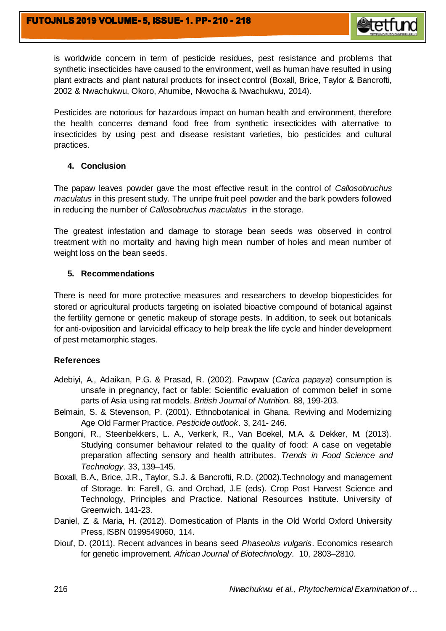

is worldwide concern in term of pesticide residues, pest resistance and problems that synthetic insecticides have caused to the environment, well as human have resulted in using plant extracts and plant natural products for insect control (Boxall, Brice, Taylor & Bancrofti, 2002 & Nwachukwu, Okoro, Ahumibe, Nkwocha & Nwachukwu, 2014).

Pesticides are notorious for hazardous impact on human health and environment, therefore the health concerns demand food free from synthetic insecticides with alternative to insecticides by using pest and disease resistant varieties, bio pesticides and cultural practices.

## **4. Conclusion**

The papaw leaves powder gave the most effective result in the control of *Callosobruchus maculatus* in this present study. The unripe fruit peel powder and the bark powders followed in reducing the number of *Callosobruchus maculatus* in the storage.

The greatest infestation and damage to storage bean seeds was observed in control treatment with no mortality and having high mean number of holes and mean number of weight loss on the bean seeds.

## **5. Recommendations**

There is need for more protective measures and researchers to develop biopesticides for stored or agricultural products targeting on isolated bioactive compound of botanical against the fertility gemone or genetic makeup of storage pests. In addition, to seek out botanicals for anti-oviposition and larvicidal efficacy to help break the life cycle and hinder development of pest metamorphic stages.

# **References**

- Adebiyi, A., Adaikan, P.G. & Prasad, R. (2002). Pawpaw (*Carica papaya*) consumption is unsafe in pregnancy, fact or fable: Scientific evaluation of common belief in some parts of Asia using rat models. *British Journal of Nutrition.* 88, 199-203.
- Belmain, S. & Stevenson, P. (2001). Ethnobotanical in Ghana. Reviving and Modernizing Age Old Farmer Practice. *Pesticide outlook*. 3, 241- 246.
- Bongoni, R., Steenbekkers, L. A., Verkerk, R., Van Boekel, M.A. & Dekker, M. (2013). Studying consumer behaviour related to the quality of food: A case on vegetable preparation affecting sensory and health attributes. *Trends in Food Science and Technology*. 33, 139–145.
- Boxall, B.A., Brice, J.R., Taylor, S.J. & Bancrofti, R.D. (2002).Technology and management of Storage. In: Farell, G. and Orchad, J.E (eds). Crop Post Harvest Science and Technology, Principles and Practice. National Resources Institute. University of Greenwich. 141-23.
- Daniel, Z. & Maria, H. (2012). Domestication of Plants in the Old World Oxford University Press[, ISBN](https://en.wikipedia.org/wiki/International_Standard_Book_Number_%28identifier%29) [0199549060,](https://en.wikipedia.org/wiki/Special:BookSources/0199549060) 114.
- Diouf, D. (2011). Recent advances in beans seed *Phaseolus vulgaris*. Economics research for genetic improvement. *African Journal of Biotechnology.* 10, 2803–2810.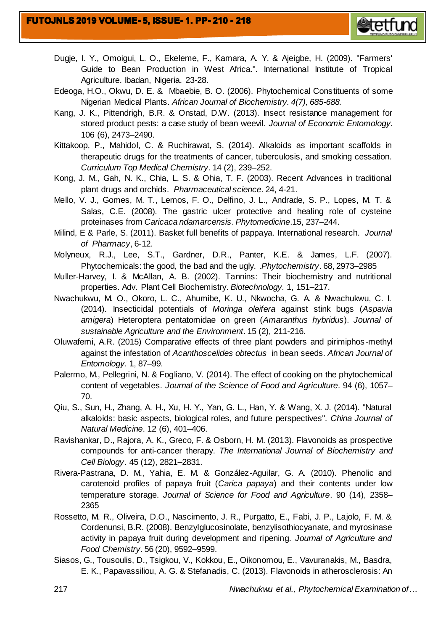

- Dugje, I. Y., Omoigui, L. O., Ekeleme, F., Kamara, A. Y. & Ajeigbe, H. (2009). "Farmers' Guide to Bean Production in West Africa.". International Institute of Tropical Agriculture. Ibadan, Nigeria. 23-28.
- Edeoga, H.O., Okwu, D. E. & Mbaebie, B. O. (2006). Phytochemical Constituents of some Nigerian Medical Plants. *African Journal of Biochemistry. 4(7), 685-688.*
- Kang, J. K., Pittendrigh, B.R. & Onstad, D.W. (2013). Insect resistance management for stored product pests: a case study of bean weevil. *Journal of Economic Entomology.* 106 (6), 2473–2490.
- Kittakoop, P., Mahidol, C. & Ruchirawat, S. (2014). Alkaloids as important scaffolds in therapeutic drugs for the treatments of cancer, tuberculosis, and smoking cessation. *Curriculum Top Medical Chemistry*. 14 (2), 239–252.
- Kong, J. M., Gah, N. K., Chia, L. S. & Ohia, T. F. (2003). Recent Advances in traditional plant drugs and orchids. *Pharmaceutical science*. 24, 4-21.
- Mello, V. J., Gomes, M. T., Lemos, F. O., Delfino, J. L., Andrade, S. P., Lopes, M. T. & Salas, C.E. (2008)*.* The gastric ulcer protective and healing role of cysteine proteinases from *Caricaca ndamarcensis*. *Phytomedicine*.15, 237–244.
- Milind, E & Parle, S. (2011). Basket full benefits of pappaya. International research. *Journal of Pharmacy*, 6-12.
- Molyneux, R.J., Lee, S.T., Gardner, D.R., Panter, K.E. & James, L.F. (2007). [Phytochemicals: the good, the bad and the ugly. .](https://naldc.nal.usda.gov/download/13290/PDF)*Phytochemistry*. 68, 2973–2985
- Muller-Harvey, I. & McAllan, A. B. (2002). Tannins: Their biochemistry and nutritional properties. Adv. Plant Cell Biochemistry. *Biotechnology.* 1, 151–217.
- Nwachukwu, M. O., Okoro, L. C., Ahumibe, K. U., Nkwocha, G. A. & Nwachukwu, C. I. (2014). Insecticidal potentials of *Moringa oleifera* against stink bugs (*Aspavia amigera*) Heteroptera pentatomidae on green (*Amaranthus hybridus*). *Journal of sustainable Agriculture and the Environment*. 15 (2), 211-216.
- Oluwafemi, A.R. (2015) Comparative effects of three plant powders and pirimiphos-methyl against the infestation of *Acanthoscelides obtectus* in bean seeds. *African Journal of Entomology.* 1, 87–99.
- Palermo, M., Pellegrini, N. & Fogliano, V. (2014). The effect of cooking on the phytochemical content of vegetables. *Journal of the Science of Food and Agriculture*. 94 (6), 1057– 70.
- Qiu, S., Sun, H., Zhang, A. H., Xu, H. Y., Yan, G. L., Han, Y. & Wang, X. J. (2014). "Natural alkaloids: basic aspects, biological roles, and future perspectives". *China Journal of Natural Medicine*. 12 (6), 401–406.
- Ravishankar, D., Rajora, A. K., Greco, F. & Osborn, H. M. (2013). Flavonoids as prospective compounds for anti-cancer therapy. *The International Journal of Biochemistry and Cell Biology*. 45 (12), 2821–2831.
- Rivera-Pastrana, D. M., Yahia, E. M. & González-Aguilar, G. A. (2010). Phenolic and carotenoid profiles of papaya fruit (*Carica papaya*) and their contents under low temperature storage. *Journal of Science for Food and Agriculture*. 90 (14), 2358– 2365
- Rossetto, M. R., Oliveira, D.O., Nascimento, J. R., Purgatto, E., Fabi, J. P., Lajolo, F. M. & Cordenunsi, B.R. (2008). Benzylglucosinolate, benzylisothiocyanate, and myrosinase activity in papaya fruit during development and ripening. *Journal of Agriculture and Food Chemistry*. 56 (20), 9592–9599.
- Siasos, G., Tousoulis, D., Tsigkou, V., Kokkou, E., Oikonomou, E., Vavuranakis, M., Basdra, E. K., Papavassiliou, A. G. & Stefanadis, C. (2013). Flavonoids in atherosclerosis: An